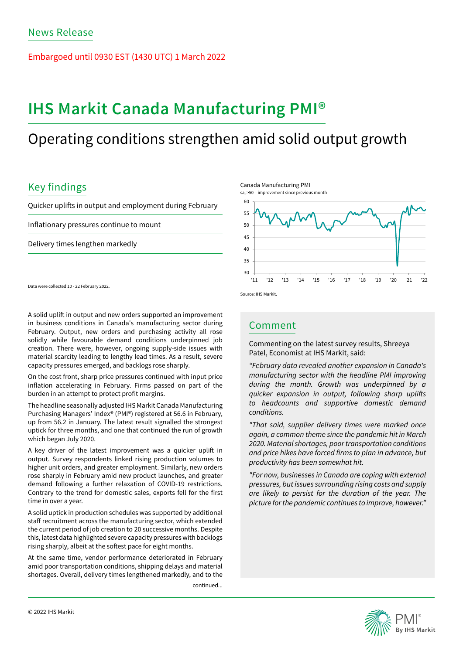Embargoed until 0930 EST (1430 UTC) 1 March 2022

# **IHS Markit Canada Manufacturing PMI®**

## Operating conditions strengthen amid solid output growth

## Key findings

Quicker uplifts in output and employment during February

Inflationary pressures continue to mount

Delivery times lengthen markedly

Data were collected 10 - 22 February 2022.

A solid uplift in output and new orders supported an improvement in business conditions in Canada's manufacturing sector during February. Output, new orders and purchasing activity all rose solidly while favourable demand conditions underpinned job creation. There were, however, ongoing supply-side issues with material scarcity leading to lengthy lead times. As a result, severe capacity pressures emerged, and backlogs rose sharply.

On the cost front, sharp price pressures continued with input price inflation accelerating in February. Firms passed on part of the burden in an attempt to protect profit margins.

The headline seasonally adjusted IHS Markit Canada Manufacturing Purchasing Managers' Index® (PMI®) registered at 56.6 in February, up from 56.2 in January. The latest result signalled the strongest uptick for three months, and one that continued the run of growth which began July 2020.

A key driver of the latest improvement was a quicker uplift in output. Survey respondents linked rising production volumes to higher unit orders, and greater employment. Similarly, new orders rose sharply in February amid new product launches, and greater demand following a further relaxation of COVID-19 restrictions. Contrary to the trend for domestic sales, exports fell for the first time in over a year.

A solid uptick in production schedules was supported by additional staff recruitment across the manufacturing sector, which extended the current period of job creation to 20 successive months. Despite this, latest data highlighted severe capacity pressures with backlogs rising sharply, albeit at the softest pace for eight months.

At the same time, vendor performance deteriorated in February amid poor transportation conditions, shipping delays and material shortages. Overall, delivery times lengthened markedly, and to the

continued...







## Comment

Commenting on the latest survey results, Shreeya Patel, Economist at IHS Markit, said:

*"February data revealed another expansion in Canada's manufacturing sector with the headline PMI improving during the month. Growth was underpinned by a*  quicker expansion in output, following sharp uplifts *to headcounts and supportive domestic demand conditions.*

*"That said, supplier delivery times were marked once again, a common theme since the pandemic hit in March 2020. Material shortages, poor transportation conditions*  and price hikes have forced firms to plan in advance, but *productivity has been somewhat hit.* 

*"For now, businesses in Canada are coping with external pressures, but issues surrounding rising costs and supply are likely to persist for the duration of the year. The picture for the pandemic continues to improve, however."*